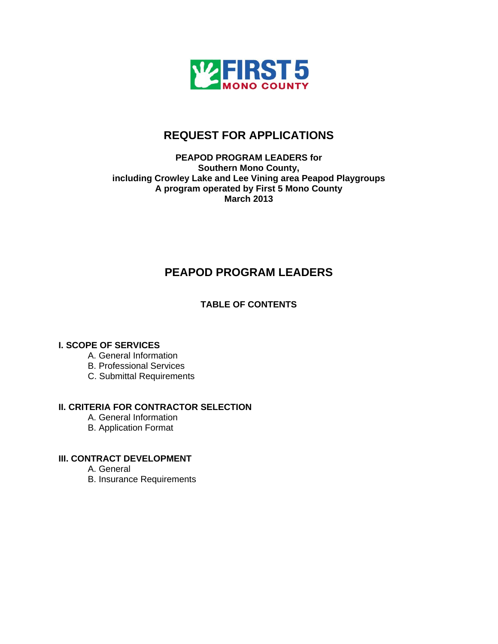

# **REQUEST FOR APPLICATIONS**

## **PEAPOD PROGRAM LEADERS for Southern Mono County, including Crowley Lake and Lee Vining area Peapod Playgroups A program operated by First 5 Mono County March 2013**

# **PEAPOD PROGRAM LEADERS**

# **TABLE OF CONTENTS**

# **I. SCOPE OF SERVICES**

- A. General Information
- B. Professional Services
- C. Submittal Requirements

# **II. CRITERIA FOR CONTRACTOR SELECTION**

- A. General Information
- B. Application Format

# **III. CONTRACT DEVELOPMENT**

- A. General
- B. Insurance Requirements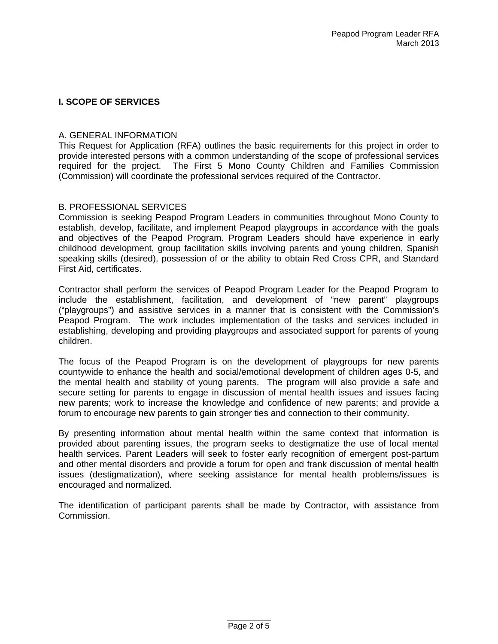## **I. SCOPE OF SERVICES**

#### A. GENERAL INFORMATION

This Request for Application (RFA) outlines the basic requirements for this project in order to provide interested persons with a common understanding of the scope of professional services required for the project. The First 5 Mono County Children and Families Commission (Commission) will coordinate the professional services required of the Contractor.

## B. PROFESSIONAL SERVICES

Commission is seeking Peapod Program Leaders in communities throughout Mono County to establish, develop, facilitate, and implement Peapod playgroups in accordance with the goals and objectives of the Peapod Program. Program Leaders should have experience in early childhood development, group facilitation skills involving parents and young children, Spanish speaking skills (desired), possession of or the ability to obtain Red Cross CPR, and Standard First Aid, certificates.

Contractor shall perform the services of Peapod Program Leader for the Peapod Program to include the establishment, facilitation, and development of "new parent" playgroups ("playgroups") and assistive services in a manner that is consistent with the Commission's Peapod Program. The work includes implementation of the tasks and services included in establishing, developing and providing playgroups and associated support for parents of young children.

The focus of the Peapod Program is on the development of playgroups for new parents countywide to enhance the health and social/emotional development of children ages 0-5, and the mental health and stability of young parents. The program will also provide a safe and secure setting for parents to engage in discussion of mental health issues and issues facing new parents; work to increase the knowledge and confidence of new parents; and provide a forum to encourage new parents to gain stronger ties and connection to their community.

By presenting information about mental health within the same context that information is provided about parenting issues, the program seeks to destigmatize the use of local mental health services. Parent Leaders will seek to foster early recognition of emergent post-partum and other mental disorders and provide a forum for open and frank discussion of mental health issues (destigmatization), where seeking assistance for mental health problems/issues is encouraged and normalized.

The identification of participant parents shall be made by Contractor, with assistance from Commission.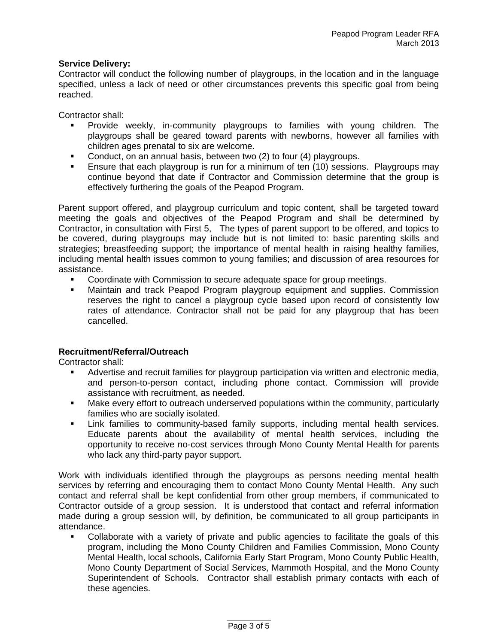### **Service Delivery:**

Contractor will conduct the following number of playgroups, in the location and in the language specified, unless a lack of need or other circumstances prevents this specific goal from being reached.

Contractor shall:

- Provide weekly, in-community playgroups to families with young children. The playgroups shall be geared toward parents with newborns, however all families with children ages prenatal to six are welcome.
- Conduct, on an annual basis, between two (2) to four (4) playgroups.
- Ensure that each playgroup is run for a minimum of ten (10) sessions. Playgroups may continue beyond that date if Contractor and Commission determine that the group is effectively furthering the goals of the Peapod Program.

Parent support offered, and playgroup curriculum and topic content, shall be targeted toward meeting the goals and objectives of the Peapod Program and shall be determined by Contractor, in consultation with First 5, The types of parent support to be offered, and topics to be covered, during playgroups may include but is not limited to: basic parenting skills and strategies; breastfeeding support; the importance of mental health in raising healthy families, including mental health issues common to young families; and discussion of area resources for assistance.

- Coordinate with Commission to secure adequate space for group meetings.
- Maintain and track Peapod Program playgroup equipment and supplies. Commission reserves the right to cancel a playgroup cycle based upon record of consistently low rates of attendance. Contractor shall not be paid for any playgroup that has been cancelled.

# **Recruitment/Referral/Outreach**

Contractor shall:

- Advertise and recruit families for playgroup participation via written and electronic media, and person-to-person contact, including phone contact. Commission will provide assistance with recruitment, as needed.
- Make every effort to outreach underserved populations within the community, particularly families who are socially isolated.
- Link families to community-based family supports, including mental health services. Educate parents about the availability of mental health services, including the opportunity to receive no-cost services through Mono County Mental Health for parents who lack any third-party payor support.

Work with individuals identified through the playgroups as persons needing mental health services by referring and encouraging them to contact Mono County Mental Health. Any such contact and referral shall be kept confidential from other group members, if communicated to Contractor outside of a group session. It is understood that contact and referral information made during a group session will, by definition, be communicated to all group participants in attendance.

 Collaborate with a variety of private and public agencies to facilitate the goals of this program, including the Mono County Children and Families Commission, Mono County Mental Health, local schools, California Early Start Program, Mono County Public Health, Mono County Department of Social Services, Mammoth Hospital, and the Mono County Superintendent of Schools. Contractor shall establish primary contacts with each of these agencies.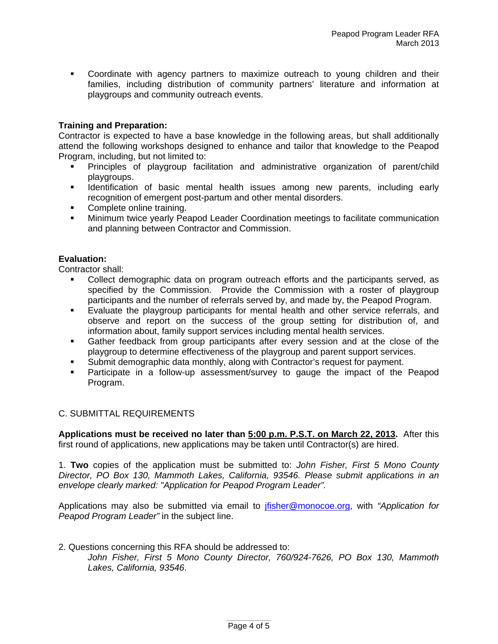Coordinate with agency partners to maximize outreach to young children and their families, including distribution of community partners' literature and information at playgroups and community outreach events.

## **Training and Preparation:**

Contractor is expected to have a base knowledge in the following areas, but shall additionally attend the following workshops designed to enhance and tailor that knowledge to the Peapod Program, including, but not limited to:

- Principles of playgroup facilitation and administrative organization of parent/child playgroups.
- **IDENT IDENT** Identification of basic mental health issues among new parents, including early recognition of emergent post-partum and other mental disorders.
- Complete online training.
- Minimum twice yearly Peapod Leader Coordination meetings to facilitate communication and planning between Contractor and Commission.

#### **Evaluation:**

Contractor shall:

- Collect demographic data on program outreach efforts and the participants served, as specified by the Commission. Provide the Commission with a roster of playgroup participants and the number of referrals served by, and made by, the Peapod Program.
- Evaluate the playgroup participants for mental health and other service referrals, and observe and report on the success of the group setting for distribution of, and information about, family support services including mental health services.
- Gather feedback from group participants after every session and at the close of the playgroup to determine effectiveness of the playgroup and parent support services.
- Submit demographic data monthly, along with Contractor's request for payment.
- Participate in a follow-up assessment/survey to gauge the impact of the Peapod Program.

#### C. SUBMITTAL REQUIREMENTS

**Applications must be received no later than 5:00 p.m. P.S.T. on March 22, 2013.** After this first round of applications, new applications may be taken until Contractor(s) are hired.

1. **Two** copies of the application must be submitted to: *John Fisher, First 5 Mono County Director, PO Box 130, Mammoth Lakes, California, 93546. Please submit applications in an envelope clearly marked: "Application for Peapod Program Leader".* 

Applications may also be submitted via email to [jfisher@monocoe.org,](mailto:jfisher@monocoe.org) with *"Application for Peapod Program Leader"* in the subject line.

#### 2. Questions concerning this RFA should be addressed to:

*John Fisher, First 5 Mono County Director, 760/924-7626, PO Box 130, Mammoth Lakes, California, 93546*.